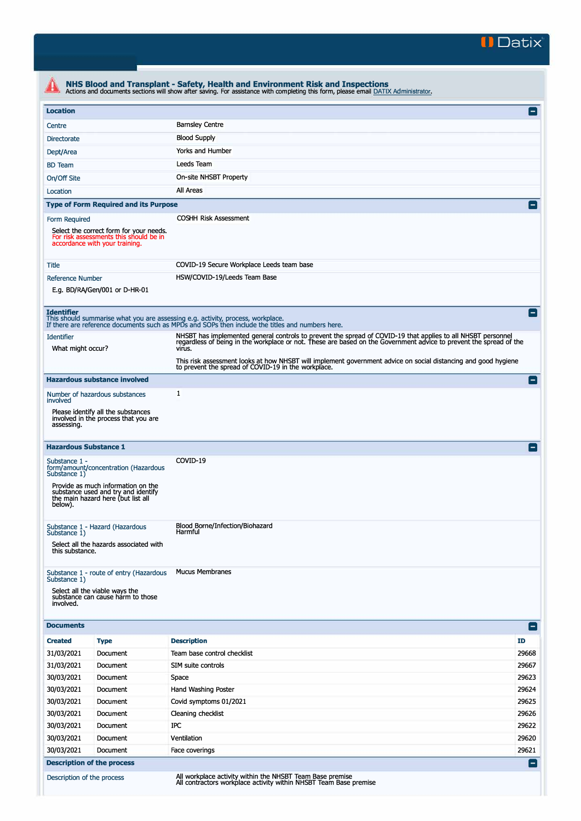

| <b>Location</b>                                                                                                                                             |                                                                                   |                                                                                                                                                                                                                                    | E              |  |  |
|-------------------------------------------------------------------------------------------------------------------------------------------------------------|-----------------------------------------------------------------------------------|------------------------------------------------------------------------------------------------------------------------------------------------------------------------------------------------------------------------------------|----------------|--|--|
| Centre                                                                                                                                                      |                                                                                   | <b>Barnsley Centre</b>                                                                                                                                                                                                             |                |  |  |
| <b>Blood Supply</b><br>Directorate                                                                                                                          |                                                                                   |                                                                                                                                                                                                                                    |                |  |  |
| Dept/Area                                                                                                                                                   |                                                                                   | Yorks and Humber                                                                                                                                                                                                                   |                |  |  |
| <b>BD</b> Team                                                                                                                                              |                                                                                   | Leeds Team                                                                                                                                                                                                                         |                |  |  |
| On/Off Site                                                                                                                                                 |                                                                                   | On-site NHSBT Property                                                                                                                                                                                                             |                |  |  |
| Location                                                                                                                                                    |                                                                                   | All Areas                                                                                                                                                                                                                          |                |  |  |
|                                                                                                                                                             | <b>Type of Form Required and its Purpose</b>                                      |                                                                                                                                                                                                                                    | E              |  |  |
|                                                                                                                                                             |                                                                                   | <b>COSHH Risk Assessment</b>                                                                                                                                                                                                       |                |  |  |
| Form Required<br>accordance with your training.                                                                                                             | Select the correct form for your needs.<br>For risk assessments this should be in |                                                                                                                                                                                                                                    |                |  |  |
| Title                                                                                                                                                       |                                                                                   | COVID-19 Secure Workplace Leeds team base                                                                                                                                                                                          |                |  |  |
| <b>Reference Number</b><br>E.g. BD/RA/Gen/001 or D-HR-01                                                                                                    |                                                                                   | HSW/COVID-19/Leeds Team Base                                                                                                                                                                                                       |                |  |  |
| <b>Identifier</b>                                                                                                                                           |                                                                                   | This should summarise what you are assessing e.g. activity, process, workplace.<br>If there are reference documents such as MPDs and SOPs then include the titles and numbers here.                                                | Е              |  |  |
| <b>Identifier</b>                                                                                                                                           |                                                                                   | NHSBT has implemented general controls to prevent the spread of COVID-19 that applies to all NHSBT personnel<br>regardless of being in the workplace or not. These are based on the Government advice to prevent the spread of the |                |  |  |
| What might occur?                                                                                                                                           |                                                                                   | virus.                                                                                                                                                                                                                             |                |  |  |
|                                                                                                                                                             |                                                                                   | This risk assessment looks at how NHSBT will implement government advice on social distancing and good hygiene<br>to prevent the spread of COVID-19 in the workplace.                                                              |                |  |  |
| <b>Hazardous substance involved</b>                                                                                                                         |                                                                                   |                                                                                                                                                                                                                                    | E              |  |  |
| Number of hazardous substances<br>involved                                                                                                                  |                                                                                   | $\mathbf{1}$                                                                                                                                                                                                                       |                |  |  |
| Please identify all the substances<br>involved in the process that you are<br>assessing.                                                                    |                                                                                   |                                                                                                                                                                                                                                    |                |  |  |
| <b>Hazardous Substance 1</b>                                                                                                                                |                                                                                   | COVID-19                                                                                                                                                                                                                           | $\blacksquare$ |  |  |
| Substance 1 -<br>Substance 1)<br>Provide as much information on the<br>substance used and try and identify<br>the main hazard here (but list all<br>below). | form/amount/concentration (Hazardous                                              |                                                                                                                                                                                                                                    |                |  |  |
| Substance 1 - Hazard (Hazardous<br>Substance 1)<br>this substance.                                                                                          | Select all the hazards associated with                                            | Blood Borne/Infection/Biohazard<br>Harmful                                                                                                                                                                                         |                |  |  |
| Substance 1)<br>Select all the viable ways the<br>substance can cause harm to those<br>involved.                                                            | Substance 1 - route of entry (Hazardous                                           | <b>Mucus Membranes</b>                                                                                                                                                                                                             |                |  |  |
| <b>Documents</b>                                                                                                                                            |                                                                                   |                                                                                                                                                                                                                                    | Е              |  |  |
| <b>Created</b><br><b>Type</b>                                                                                                                               |                                                                                   | <b>Description</b>                                                                                                                                                                                                                 | ID             |  |  |
| 31/03/2021                                                                                                                                                  | Document                                                                          | Team base control checklist                                                                                                                                                                                                        | 29668          |  |  |
| 31/03/2021                                                                                                                                                  | Document                                                                          | SIM suite controls                                                                                                                                                                                                                 | 29667          |  |  |
| 30/03/2021                                                                                                                                                  | Document                                                                          | Space                                                                                                                                                                                                                              | 29623          |  |  |
| 30/03/2021                                                                                                                                                  | Document                                                                          | Hand Washing Poster                                                                                                                                                                                                                | 29624          |  |  |
| 30/03/2021                                                                                                                                                  | Document                                                                          | Covid symptoms 01/2021                                                                                                                                                                                                             | 29625          |  |  |
| 30/03/2021                                                                                                                                                  | Document                                                                          | Cleaning checklist                                                                                                                                                                                                                 | 29626          |  |  |
| 30/03/2021                                                                                                                                                  | Document                                                                          | IPC                                                                                                                                                                                                                                | 29622          |  |  |
| 30/03/2021                                                                                                                                                  | Document                                                                          | Ventilation                                                                                                                                                                                                                        | 29620          |  |  |
| 30/03/2021                                                                                                                                                  | Document                                                                          | Face coverings                                                                                                                                                                                                                     | 29621          |  |  |
|                                                                                                                                                             |                                                                                   |                                                                                                                                                                                                                                    |                |  |  |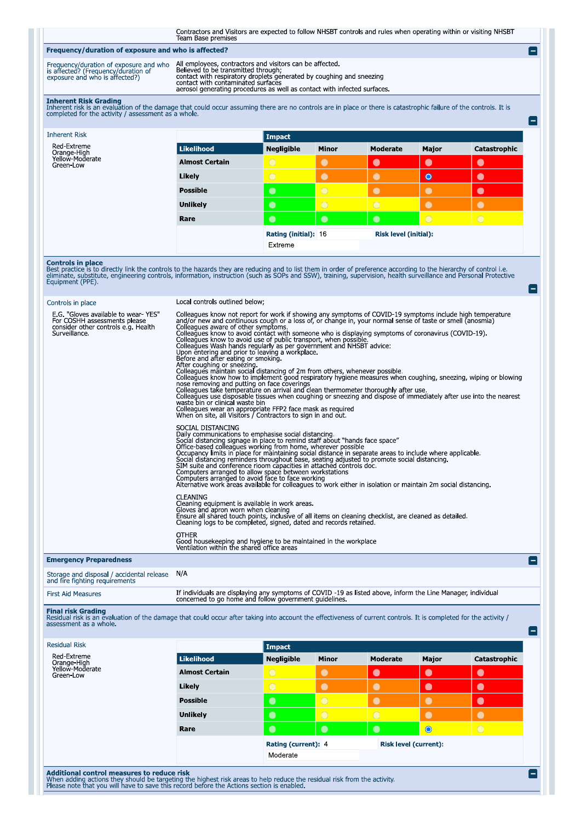Contractors and Visitors are expected to follow NHSBT controls and rules when operating within or visiting NHSBT<br>Team Base premises

e

E

m

## Frequency/duration of exposure and who is affected?

| Frequency/duration of exposure and who<br>is affected? (Frequency/duration of |  |
|-------------------------------------------------------------------------------|--|
|                                                                               |  |
| exposure and who is affected?)                                                |  |
|                                                                               |  |

All employees, contractors and visitors can be affected.<br>Believed to be transmitted through;<br>contact with respiratory droplets generated by coughing and sneezing<br>contact with contaminated surfaces<br>aerosol generating proced

| <b>Inherent Risk Grading</b><br>Inherent risk is an evaluation of the damage that could occur assuming there are no controls are in place or there is catastrophic failure of the controls. It is<br>completed for the activity / assessment as a whole. |                       |                             |                |                              |                |                |  |
|----------------------------------------------------------------------------------------------------------------------------------------------------------------------------------------------------------------------------------------------------------|-----------------------|-----------------------------|----------------|------------------------------|----------------|----------------|--|
| <b>Inherent Risk</b>                                                                                                                                                                                                                                     |                       | <b>Impact</b>               |                |                              |                |                |  |
| Red-Extreme<br>Orange-High<br>Yellow-Moderate<br>Green-Low                                                                                                                                                                                               | <b>Likelihood</b>     | <b>Negligible</b>           | <b>Minor</b>   | Moderate                     | Major          | Catastrophic   |  |
|                                                                                                                                                                                                                                                          | <b>Almost Certain</b> | $\bigcirc$                  | $\bullet$      | $\bullet$                    | $\bullet$      | $\bullet$      |  |
|                                                                                                                                                                                                                                                          | Likely                | $\bigcap$                   | $\bullet$      | О                            | $\bullet$      | $\bullet$      |  |
|                                                                                                                                                                                                                                                          | <b>Possible</b>       | $\bullet$                   | $\bigcirc$     |                              |                | $\bullet$      |  |
|                                                                                                                                                                                                                                                          | <b>Unlikely</b>       | $\bullet$                   | $\overline{O}$ | $\overline{O}$               | $\bullet$      | $\bigcirc$     |  |
|                                                                                                                                                                                                                                                          | Rare                  | $\bullet$                   | $\bullet$      | $\bullet$                    | $\overline{O}$ | $\overline{O}$ |  |
|                                                                                                                                                                                                                                                          |                       | <b>Rating (initial): 16</b> |                | <b>Risk level (initial):</b> |                |                |  |
|                                                                                                                                                                                                                                                          |                       | Extreme                     |                |                              |                |                |  |

**Controls in place**<br>Best practice is to directly link the controls to the hazards they are reducing and to list them in order of preference according to the hierarchy of control i.e.<br>eliminate, substitute, engineering cont

| Controls in place                                                                                                           | Local controls outlined below;                                                                                                                                                                                                                                                                                                                                                                                                                                                                                                                                                                                                                                                                                                                                                                                                                                                                                                                                                                                                                                                                                                                                                                                                                                     |
|-----------------------------------------------------------------------------------------------------------------------------|--------------------------------------------------------------------------------------------------------------------------------------------------------------------------------------------------------------------------------------------------------------------------------------------------------------------------------------------------------------------------------------------------------------------------------------------------------------------------------------------------------------------------------------------------------------------------------------------------------------------------------------------------------------------------------------------------------------------------------------------------------------------------------------------------------------------------------------------------------------------------------------------------------------------------------------------------------------------------------------------------------------------------------------------------------------------------------------------------------------------------------------------------------------------------------------------------------------------------------------------------------------------|
| E.G. "Gloves available to wear-YES"<br>For COSHH assessments please<br>consider other controls e.g. Health<br>Surveillance. | Colleagues know not report for work if showing any symptoms of COVID-19 symptoms include high temperature<br>and/or new and continuous cough or a loss of, or change in, your normal sense of taste or smell (anosmia)<br>Colleagues aware of other symptoms.<br>Colleagues know to avoid contact with someone who is displaying symptoms of coronavirus (COVID-19).<br>Colleagues know to avoid use of public transport, when possible.<br>Colleagues Wash hands regularly as per government and NHSBT advice:<br>Upon entering and prior to leaving a workplace.<br>Before and after eating or smoking.<br>After coughing or sneezing.<br>Colleagues maintain social distancing of 2m from others, whenever possible.<br>Colleagues know how to implement good respiratory hygiene measures when coughing, sneezing, wiping or blowing<br>nose removing and putting on face coverings<br>Colleagues take temperature on arrival and clean thermometer thoroughly after use.<br>Colleagues use disposable tissues when coughing or sneezing and dispose of immediately after use into the nearest<br>waste bin or clinical waste bin<br>Colleagues wear an appropriate FFP2 face mask as required<br>When on site, all Visitors / Contractors to sign in and out. |
|                                                                                                                             | SOCIAL DISTANCING<br>Daily communications to emphasise social distancing.<br>Social distancing signage in place to remind staff about "hands face space"<br>Office-based colleagues working from home, wherever possible<br>Occupancy limits in place for maintaining social distance in separate areas to include where applicable.<br>Social distancing reminders throughout base, seating adjusted to promote social distancing.<br>SIM suite and conference rioom capacities in attached controls doc.<br>Computers arranged to allow space between workstations<br>Computers arranged to avoid face to face working<br>Alternative work areas available for colleagues to work either in isolation or maintain 2m social distancing.                                                                                                                                                                                                                                                                                                                                                                                                                                                                                                                          |
|                                                                                                                             | <b>CLEANING</b><br>Cleaning equipment is available in work areas.<br>Gloves and apron worn when cleaning<br>Ensure all shared touch points, inclusive of all items on cleaning checklist, are cleaned as detailed.<br>Cleaning logs to be completed, signed, dated and records retained                                                                                                                                                                                                                                                                                                                                                                                                                                                                                                                                                                                                                                                                                                                                                                                                                                                                                                                                                                            |
|                                                                                                                             | <b>OTHER</b><br>Good housekeeping and hygiene to be maintained in the workplace<br>Ventilation within the shared office areas                                                                                                                                                                                                                                                                                                                                                                                                                                                                                                                                                                                                                                                                                                                                                                                                                                                                                                                                                                                                                                                                                                                                      |
| <b>Emergency Preparedness</b>                                                                                               | $\blacksquare$                                                                                                                                                                                                                                                                                                                                                                                                                                                                                                                                                                                                                                                                                                                                                                                                                                                                                                                                                                                                                                                                                                                                                                                                                                                     |
| Storage and disposal / accidental release<br>and fire fighting reguirements                                                 | N/A                                                                                                                                                                                                                                                                                                                                                                                                                                                                                                                                                                                                                                                                                                                                                                                                                                                                                                                                                                                                                                                                                                                                                                                                                                                                |
| <b>First Aid Measures</b>                                                                                                   | If individuals are displaying any symptoms of COVID -19 as listed above, inform the Line Manager, individual<br>concerned to go home and follow government guidelines.                                                                                                                                                                                                                                                                                                                                                                                                                                                                                                                                                                                                                                                                                                                                                                                                                                                                                                                                                                                                                                                                                             |

|  | <b>First Aid Measures</b> |
|--|---------------------------|
|  |                           |

Final risk Grading<br>Residual risk is an evaluation of the damage that could occur after taking into account the effectiveness of current controls. It is completed for the activity /<br>assessment as a whole.

| ussessinent us u |  |  |
|------------------|--|--|
|                  |  |  |
|                  |  |  |

| <b>Residual Risk</b>         |                       | Impact              |              |                       |           |              |
|------------------------------|-----------------------|---------------------|--------------|-----------------------|-----------|--------------|
| Red-Extreme<br>Orange-High   | Likelihood            | <b>Negligible</b>   | <b>Minor</b> | <b>Moderate</b>       | Major     | Catastrophic |
| Yellow-Moderate<br>Green-Low | <b>Almost Certain</b> | $\circ$             | $\bullet$    | $\bullet$             | $\bullet$ | $\bullet$    |
|                              | Likely                | $\bigcirc$          | $\bullet$    | $\bullet$             | $\bullet$ | $\bullet$    |
|                              | <b>Possible</b>       | $\bullet$           | $\circ$      | $\bullet$             | $\bullet$ | $\bullet$    |
|                              | <b>Unlikely</b>       | $\bullet$           | $\circ$      | $\bigcirc$            | $\bullet$ | $\bullet$    |
|                              | Rare                  | $\bullet$           | $\bullet$    | $\bullet$             | $\bullet$ | $\bigcirc$   |
|                              |                       | Rating (current): 4 |              | Risk level (current): |           |              |
|                              |                       | Moderate            |              |                       |           |              |